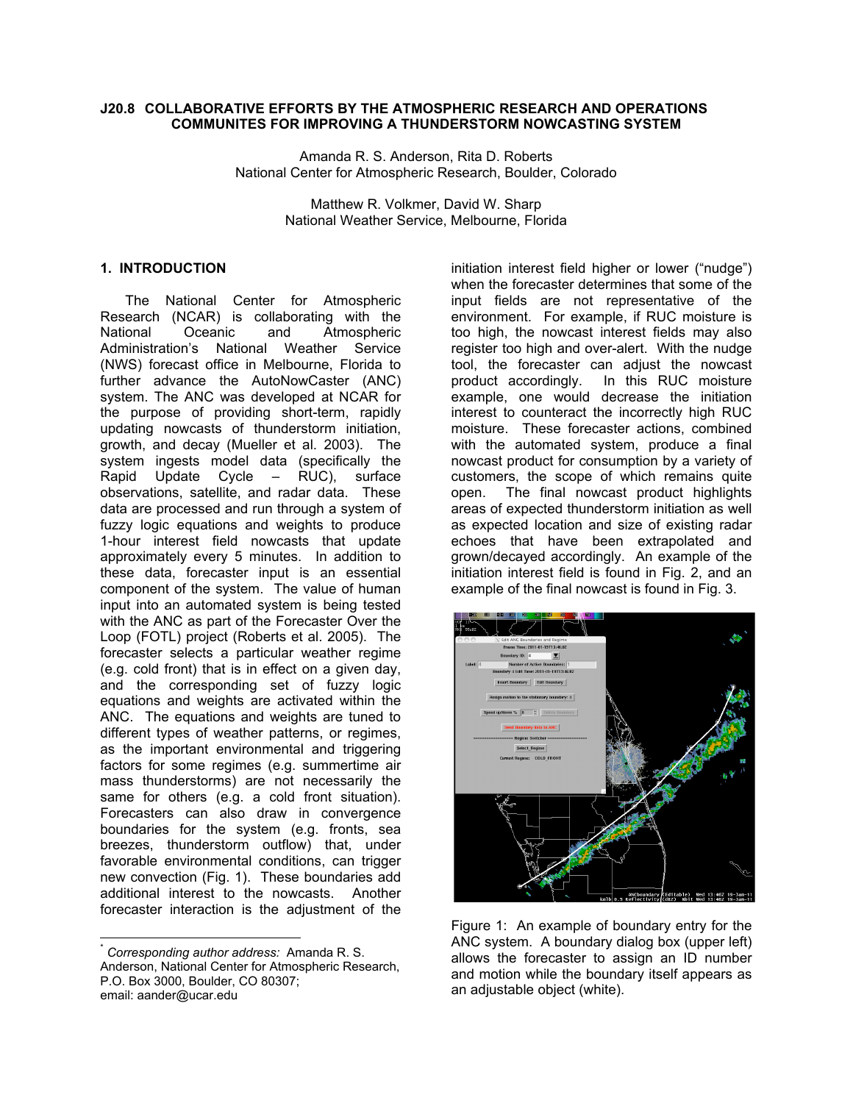#### **J20.8 COLLABORATIVE EFFORTS BY THE ATMOSPHERIC RESEARCH AND OPERATIONS COMMUNITES FOR IMPROVING A THUNDERSTORM NOWCASTING SYSTEM**

Amanda R. S. Anderson, Rita D. Roberts National Center for Atmospheric Research, Boulder, Colorado

> Matthew R. Volkmer, David W. Sharp National Weather Service, Melbourne, Florida

#### **1. INTRODUCTION\***

The National Center for Atmospheric Research (NCAR) is collaborating with the National Oceanic and Atmospheric Administration's National Weather Service (NWS) forecast office in Melbourne, Florida to further advance the AutoNowCaster (ANC) system. The ANC was developed at NCAR for the purpose of providing short-term, rapidly updating nowcasts of thunderstorm initiation, growth, and decay (Mueller et al. 2003). The system ingests model data (specifically the Rapid Update Cycle – RUC), surface observations, satellite, and radar data. These data are processed and run through a system of fuzzy logic equations and weights to produce 1-hour interest field nowcasts that update approximately every 5 minutes. In addition to these data, forecaster input is an essential component of the system. The value of human input into an automated system is being tested with the ANC as part of the Forecaster Over the Loop (FOTL) project (Roberts et al. 2005). The forecaster selects a particular weather regime (e.g. cold front) that is in effect on a given day, and the corresponding set of fuzzy logic equations and weights are activated within the ANC. The equations and weights are tuned to different types of weather patterns, or regimes, as the important environmental and triggering factors for some regimes (e.g. summertime air mass thunderstorms) are not necessarily the same for others (e.g. a cold front situation). Forecasters can also draw in convergence boundaries for the system (e.g. fronts, sea breezes, thunderstorm outflow) that, under favorable environmental conditions, can trigger new convection (Fig. 1). These boundaries add additional interest to the nowcasts. Another forecaster interaction is the adjustment of the

initiation interest field higher or lower ("nudge") when the forecaster determines that some of the input fields are not representative of the environment. For example, if RUC moisture is too high, the nowcast interest fields may also register too high and over-alert. With the nudge tool, the forecaster can adjust the nowcast product accordingly. In this RUC moisture example, one would decrease the initiation interest to counteract the incorrectly high RUC moisture. These forecaster actions, combined with the automated system, produce a final nowcast product for consumption by a variety of customers, the scope of which remains quite open. The final nowcast product highlights areas of expected thunderstorm initiation as well as expected location and size of existing radar echoes that have been extrapolated and grown/decayed accordingly. An example of the initiation interest field is found in Fig. 2, and an example of the final nowcast is found in Fig. 3.



Figure 1: An example of boundary entry for the ANC system. A boundary dialog box (upper left) allows the forecaster to assign an ID number and motion while the boundary itself appears as an adjustable object (white).

 \* *Corresponding author address:* Amanda R. S. Anderson, National Center for Atmospheric Research, P.O. Box 3000, Boulder, CO 80307; email: aander@ucar.edu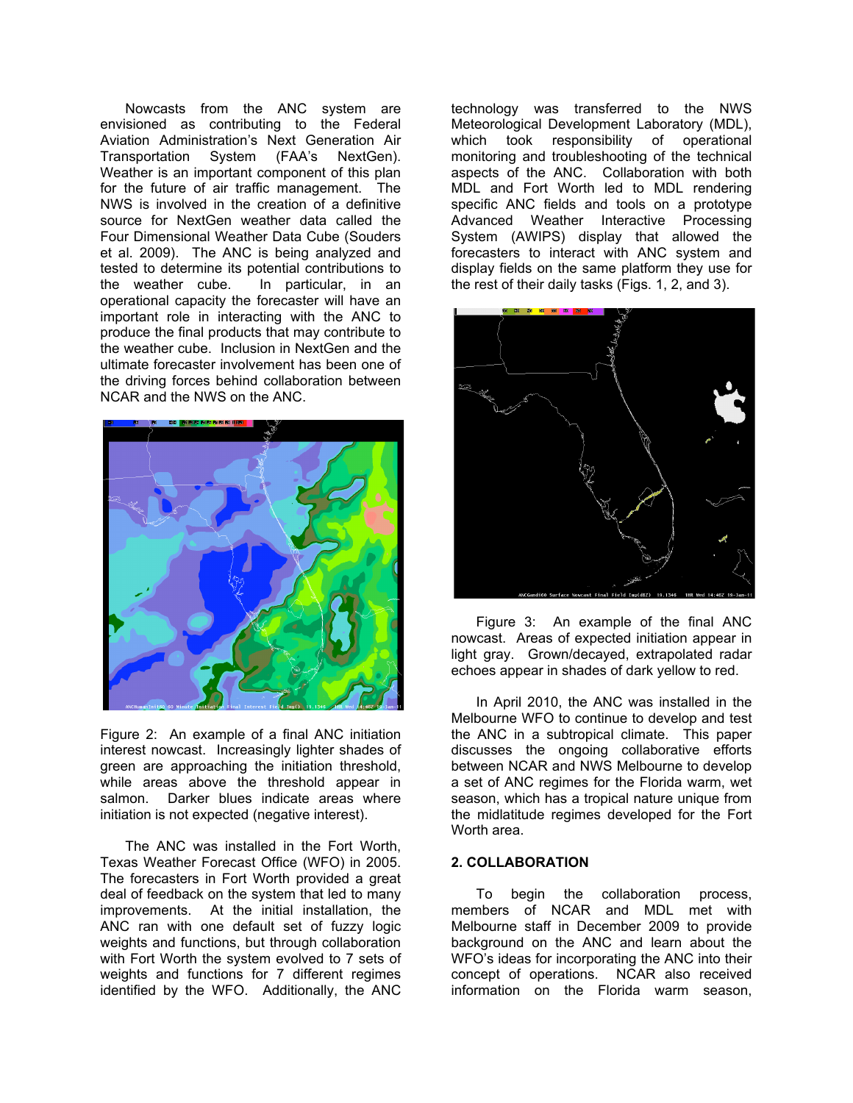Nowcasts from the ANC system are envisioned as contributing to the Federal Aviation Administration's Next Generation Air Transportation System (FAA's NextGen). Weather is an important component of this plan for the future of air traffic management. The NWS is involved in the creation of a definitive source for NextGen weather data called the Four Dimensional Weather Data Cube (Souders et al. 2009). The ANC is being analyzed and tested to determine its potential contributions to the weather cube. In particular, in an operational capacity the forecaster will have an important role in interacting with the ANC to produce the final products that may contribute to the weather cube. Inclusion in NextGen and the ultimate forecaster involvement has been one of the driving forces behind collaboration between NCAR and the NWS on the ANC.



Figure 2: An example of a final ANC initiation interest nowcast. Increasingly lighter shades of green are approaching the initiation threshold, while areas above the threshold appear in salmon. Darker blues indicate areas where initiation is not expected (negative interest).

The ANC was installed in the Fort Worth, Texas Weather Forecast Office (WFO) in 2005. The forecasters in Fort Worth provided a great deal of feedback on the system that led to many improvements. At the initial installation, the ANC ran with one default set of fuzzy logic weights and functions, but through collaboration with Fort Worth the system evolved to 7 sets of weights and functions for 7 different regimes identified by the WFO. Additionally, the ANC

technology was transferred to the NWS Meteorological Development Laboratory (MDL), which took responsibility of operational monitoring and troubleshooting of the technical aspects of the ANC. Collaboration with both MDL and Fort Worth led to MDL rendering specific ANC fields and tools on a prototype Advanced Weather Interactive Processing System (AWIPS) display that allowed the forecasters to interact with ANC system and display fields on the same platform they use for the rest of their daily tasks (Figs. 1, 2, and 3).



Figure 3: An example of the final ANC nowcast. Areas of expected initiation appear in light gray. Grown/decayed, extrapolated radar echoes appear in shades of dark yellow to red.

In April 2010, the ANC was installed in the Melbourne WFO to continue to develop and test the ANC in a subtropical climate. This paper discusses the ongoing collaborative efforts between NCAR and NWS Melbourne to develop a set of ANC regimes for the Florida warm, wet season, which has a tropical nature unique from the midlatitude regimes developed for the Fort Worth area.

#### **2. COLLABORATION**

To begin the collaboration process, members of NCAR and MDL met with Melbourne staff in December 2009 to provide background on the ANC and learn about the WFO's ideas for incorporating the ANC into their concept of operations. NCAR also received information on the Florida warm season,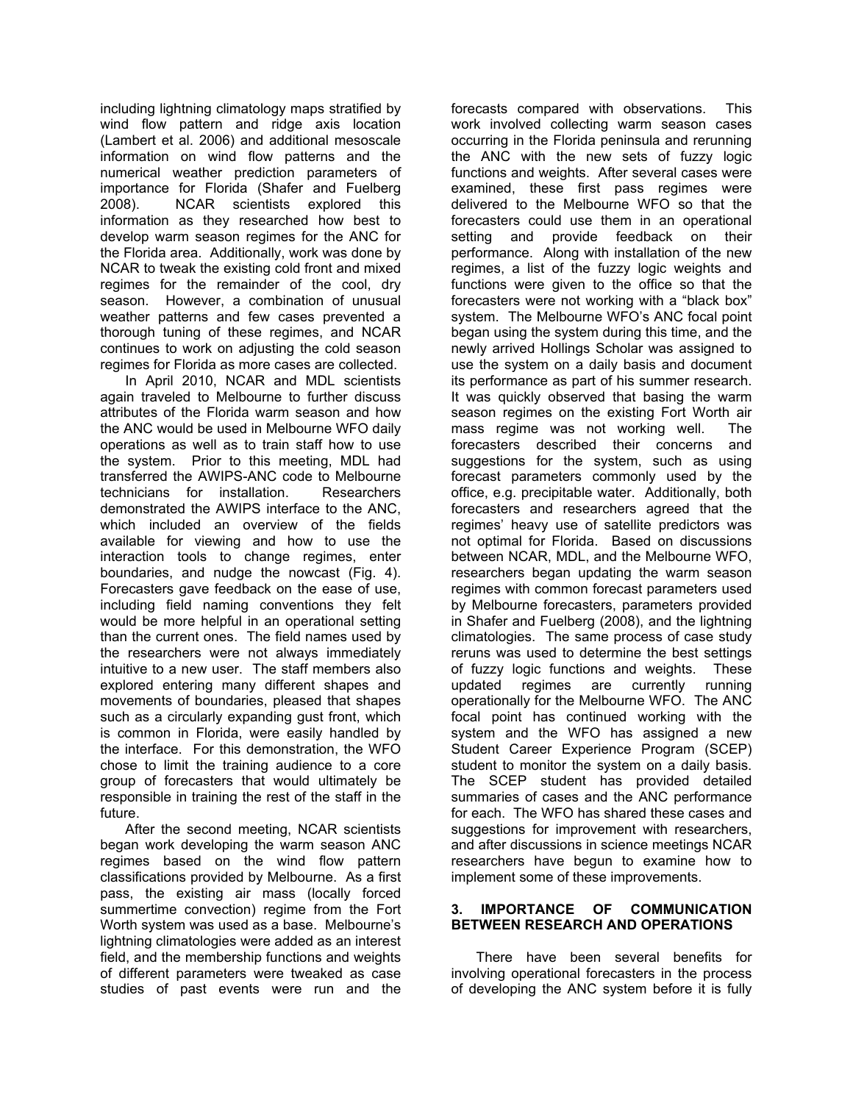including lightning climatology maps stratified by wind flow pattern and ridge axis location (Lambert et al. 2006) and additional mesoscale information on wind flow patterns and the numerical weather prediction parameters of importance for Florida (Shafer and Fuelberg 2008). NCAR scientists explored this information as they researched how best to develop warm season regimes for the ANC for the Florida area. Additionally, work was done by NCAR to tweak the existing cold front and mixed regimes for the remainder of the cool, dry season. However, a combination of unusual weather patterns and few cases prevented a thorough tuning of these regimes, and NCAR continues to work on adjusting the cold season regimes for Florida as more cases are collected.

In April 2010, NCAR and MDL scientists again traveled to Melbourne to further discuss attributes of the Florida warm season and how the ANC would be used in Melbourne WFO daily operations as well as to train staff how to use the system. Prior to this meeting, MDL had transferred the AWIPS-ANC code to Melbourne technicians for installation. Researchers demonstrated the AWIPS interface to the ANC, which included an overview of the fields available for viewing and how to use the interaction tools to change regimes, enter boundaries, and nudge the nowcast (Fig. 4). Forecasters gave feedback on the ease of use, including field naming conventions they felt would be more helpful in an operational setting than the current ones. The field names used by the researchers were not always immediately intuitive to a new user. The staff members also explored entering many different shapes and movements of boundaries, pleased that shapes such as a circularly expanding gust front, which is common in Florida, were easily handled by the interface. For this demonstration, the WFO chose to limit the training audience to a core group of forecasters that would ultimately be responsible in training the rest of the staff in the future.

After the second meeting, NCAR scientists began work developing the warm season ANC regimes based on the wind flow pattern classifications provided by Melbourne. As a first pass, the existing air mass (locally forced summertime convection) regime from the Fort Worth system was used as a base. Melbourne's lightning climatologies were added as an interest field, and the membership functions and weights of different parameters were tweaked as case studies of past events were run and the

forecasts compared with observations. This work involved collecting warm season cases occurring in the Florida peninsula and rerunning the ANC with the new sets of fuzzy logic functions and weights. After several cases were examined, these first pass regimes were delivered to the Melbourne WFO so that the forecasters could use them in an operational setting and provide feedback on their performance. Along with installation of the new regimes, a list of the fuzzy logic weights and functions were given to the office so that the forecasters were not working with a "black box" system. The Melbourne WFO's ANC focal point began using the system during this time, and the newly arrived Hollings Scholar was assigned to use the system on a daily basis and document its performance as part of his summer research. It was quickly observed that basing the warm season regimes on the existing Fort Worth air mass regime was not working well. The forecasters described their concerns and suggestions for the system, such as using forecast parameters commonly used by the office, e.g. precipitable water. Additionally, both forecasters and researchers agreed that the regimes' heavy use of satellite predictors was not optimal for Florida. Based on discussions between NCAR, MDL, and the Melbourne WFO, researchers began updating the warm season regimes with common forecast parameters used by Melbourne forecasters, parameters provided in Shafer and Fuelberg (2008), and the lightning climatologies. The same process of case study reruns was used to determine the best settings of fuzzy logic functions and weights. These updated regimes are currently running operationally for the Melbourne WFO. The ANC focal point has continued working with the system and the WFO has assigned a new Student Career Experience Program (SCEP) student to monitor the system on a daily basis. The SCEP student has provided detailed summaries of cases and the ANC performance for each. The WFO has shared these cases and suggestions for improvement with researchers, and after discussions in science meetings NCAR researchers have begun to examine how to implement some of these improvements.

## **3. IMPORTANCE OF COMMUNICATION BETWEEN RESEARCH AND OPERATIONS**

There have been several benefits for involving operational forecasters in the process of developing the ANC system before it is fully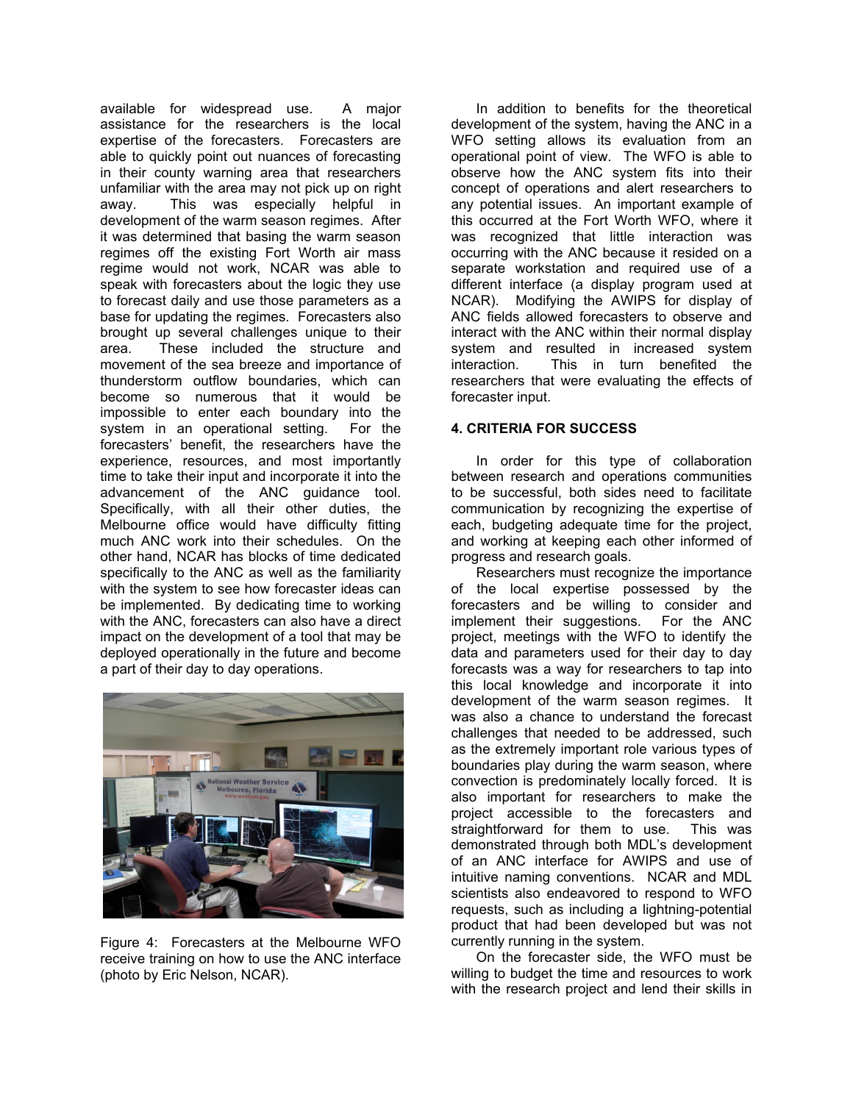available for widespread use. A major assistance for the researchers is the local expertise of the forecasters. Forecasters are able to quickly point out nuances of forecasting in their county warning area that researchers unfamiliar with the area may not pick up on right away. This was especially helpful in development of the warm season regimes. After it was determined that basing the warm season regimes off the existing Fort Worth air mass regime would not work, NCAR was able to speak with forecasters about the logic they use to forecast daily and use those parameters as a base for updating the regimes. Forecasters also brought up several challenges unique to their area. These included the structure and movement of the sea breeze and importance of thunderstorm outflow boundaries, which can become so numerous that it would be impossible to enter each boundary into the system in an operational setting. For the forecasters' benefit, the researchers have the experience, resources, and most importantly time to take their input and incorporate it into the advancement of the ANC guidance tool. Specifically, with all their other duties, the Melbourne office would have difficulty fitting much ANC work into their schedules. On the other hand, NCAR has blocks of time dedicated specifically to the ANC as well as the familiarity with the system to see how forecaster ideas can be implemented. By dedicating time to working with the ANC, forecasters can also have a direct impact on the development of a tool that may be deployed operationally in the future and become a part of their day to day operations.



Figure 4: Forecasters at the Melbourne WFO receive training on how to use the ANC interface (photo by Eric Nelson, NCAR).

In addition to benefits for the theoretical development of the system, having the ANC in a WFO setting allows its evaluation from an operational point of view. The WFO is able to observe how the ANC system fits into their concept of operations and alert researchers to any potential issues. An important example of this occurred at the Fort Worth WFO, where it was recognized that little interaction was occurring with the ANC because it resided on a separate workstation and required use of a different interface (a display program used at NCAR). Modifying the AWIPS for display of ANC fields allowed forecasters to observe and interact with the ANC within their normal display system and resulted in increased system interaction. This in turn benefited the researchers that were evaluating the effects of forecaster input.

## **4. CRITERIA FOR SUCCESS**

In order for this type of collaboration between research and operations communities to be successful, both sides need to facilitate communication by recognizing the expertise of each, budgeting adequate time for the project, and working at keeping each other informed of progress and research goals.

Researchers must recognize the importance of the local expertise possessed by the forecasters and be willing to consider and implement their suggestions. For the ANC project, meetings with the WFO to identify the data and parameters used for their day to day forecasts was a way for researchers to tap into this local knowledge and incorporate it into development of the warm season regimes. It was also a chance to understand the forecast challenges that needed to be addressed, such as the extremely important role various types of boundaries play during the warm season, where convection is predominately locally forced. It is also important for researchers to make the project accessible to the forecasters and straightforward for them to use. This was demonstrated through both MDL's development of an ANC interface for AWIPS and use of intuitive naming conventions. NCAR and MDL scientists also endeavored to respond to WFO requests, such as including a lightning-potential product that had been developed but was not currently running in the system.

On the forecaster side, the WFO must be willing to budget the time and resources to work with the research project and lend their skills in